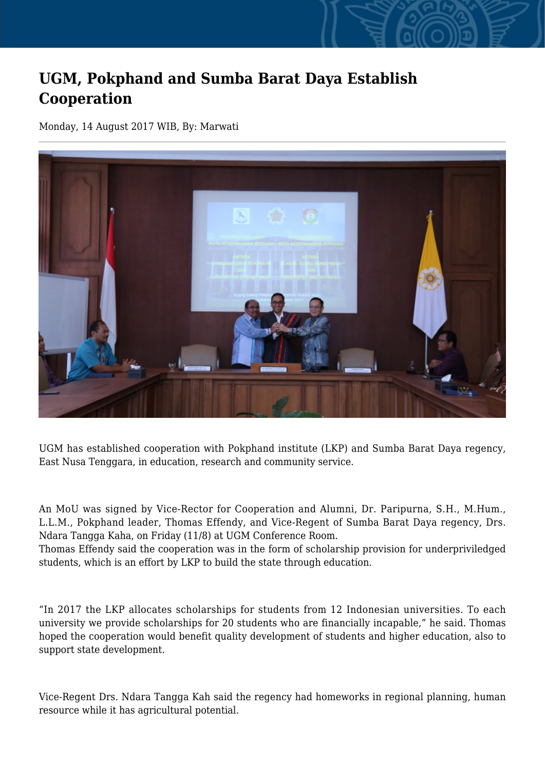## **UGM, Pokphand and Sumba Barat Daya Establish Cooperation**

Monday, 14 August 2017 WIB, By: Marwati



UGM has established cooperation with Pokphand institute (LKP) and Sumba Barat Daya regency, East Nusa Tenggara, in education, research and community service.

An MoU was signed by Vice-Rector for Cooperation and Alumni, Dr. Paripurna, S.H., M.Hum., L.L.M., Pokphand leader, Thomas Effendy, and Vice-Regent of Sumba Barat Daya regency, Drs. Ndara Tangga Kaha, on Friday (11/8) at UGM Conference Room.

Thomas Effendy said the cooperation was in the form of scholarship provision for underpriviledged students, which is an effort by LKP to build the state through education.

"In 2017 the LKP allocates scholarships for students from 12 Indonesian universities. To each university we provide scholarships for 20 students who are financially incapable," he said. Thomas hoped the cooperation would benefit quality development of students and higher education, also to support state development.

Vice-Regent Drs. Ndara Tangga Kah said the regency had homeworks in regional planning, human resource while it has agricultural potential.